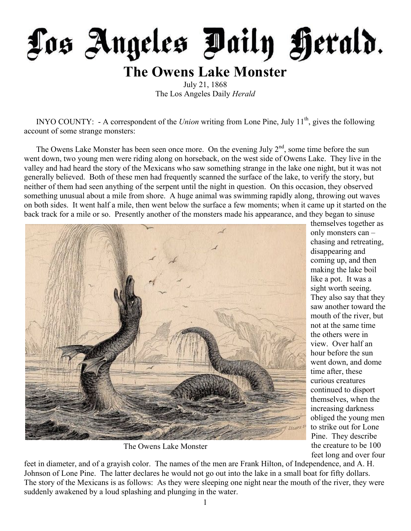

## **The Owens Lake Monster**

July 21, 1868 The Los Angeles Daily *Herald*

INYO COUNTY: - A correspondent of the *Union* writing from Lone Pine, July 11<sup>th</sup>, gives the following account of some strange monsters:

The Owens Lake Monster has been seen once more. On the evening July  $2<sup>nd</sup>$ , some time before the sun went down, two young men were riding along on horseback, on the west side of Owens Lake. They live in the valley and had heard the story of the Mexicans who saw something strange in the lake one night, but it was not generally believed. Both of these men had frequently scanned the surface of the lake, to verify the story, but neither of them had seen anything of the serpent until the night in question. On this occasion, they observed something unusual about a mile from shore. A huge animal was swimming rapidly along, throwing out waves on both sides. It went half a mile, then went below the surface a few moments; when it came up it started on the back track for a mile or so. Presently another of the monsters made his appearance, and they began to sinuse



The Owens Lake Monster

themselves together as only monsters can – chasing and retreating, disappearing and coming up, and then making the lake boil like a pot. It was a sight worth seeing. They also say that they saw another toward the mouth of the river, but not at the same time the others were in view. Over half an hour before the sun went down, and dome time after, these curious creatures continued to disport themselves, when the increasing darkness obliged the young men to strike out for Lone Pine. They describe the creature to be 100 feet long and over four

feet in diameter, and of a grayish color. The names of the men are Frank Hilton, of Independence, and A. H. Johnson of Lone Pine. The latter declares he would not go out into the lake in a small boat for fifty dollars. The story of the Mexicans is as follows: As they were sleeping one night near the mouth of the river, they were suddenly awakened by a loud splashing and plunging in the water.